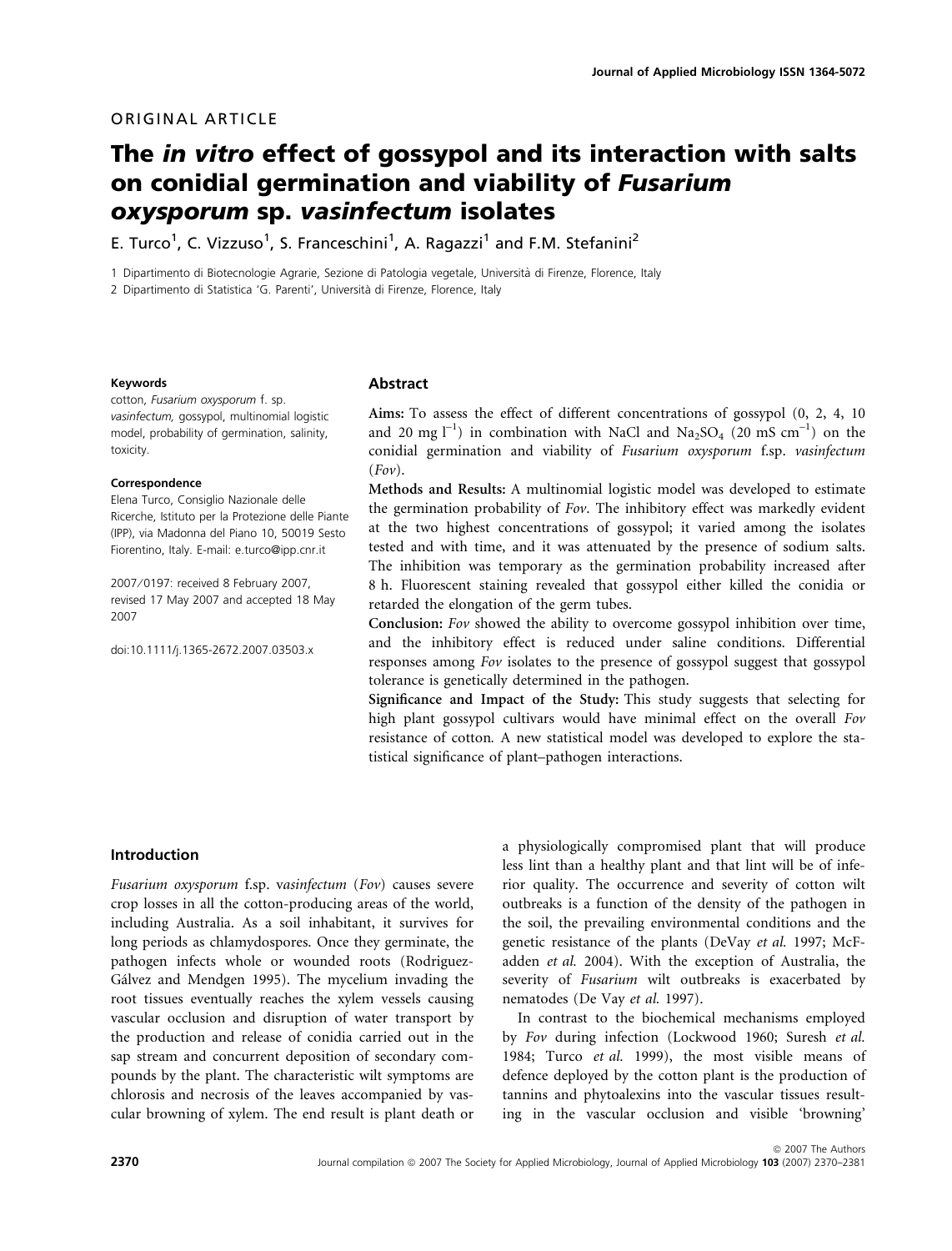# ORIGINAL ARTICLE

# The in vitro effect of gossypol and its interaction with salts on conidial germination and viability of Fusarium oxysporum sp. vasinfectum isolates

E. Turco<sup>1</sup>, C. Vizzuso<sup>1</sup>, S. Franceschini<sup>1</sup>, A. Ragazzi<sup>1</sup> and F.M. Stefanini<sup>2</sup>

1 Dipartimento di Biotecnologie Agrarie, Sezione di Patologia vegetale, Universita` di Firenze, Florence, Italy

2 Dipartimento di Statistica 'G. Parenti', Università di Firenze, Florence, Italy

#### Keywords

cotton, Fusarium oxysporum f. sp. vasinfectum, gossypol, multinomial logistic model, probability of germination, salinity, toxicity.

#### Correspondence

Elena Turco, Consiglio Nazionale delle Ricerche, Istituto per la Protezione delle Piante (IPP), via Madonna del Piano 10, 50019 Sesto Fiorentino, Italy. E-mail: e.turco@ipp.cnr.it

2007 ⁄ 0197: received 8 February 2007, revised 17 May 2007 and accepted 18 May 2007

doi:10.1111/j.1365-2672.2007.03503.x

#### Abstract

Aims: To assess the effect of different concentrations of gossypol (0, 2, 4, 10 and 20 mg  $l^{-1}$ ) in combination with NaCl and Na<sub>2</sub>SO<sub>4</sub> (20 mS cm<sup>-1</sup>) on the conidial germination and viability of Fusarium oxysporum f.sp. vasinfectum  $(Fov)$ .

Methods and Results: A multinomial logistic model was developed to estimate the germination probability of Fov. The inhibitory effect was markedly evident at the two highest concentrations of gossypol; it varied among the isolates tested and with time, and it was attenuated by the presence of sodium salts. The inhibition was temporary as the germination probability increased after 8 h. Fluorescent staining revealed that gossypol either killed the conidia or retarded the elongation of the germ tubes.

Conclusion: Fov showed the ability to overcome gossypol inhibition over time, and the inhibitory effect is reduced under saline conditions. Differential responses among Fov isolates to the presence of gossypol suggest that gossypol tolerance is genetically determined in the pathogen.

Significance and Impact of the Study: This study suggests that selecting for high plant gossypol cultivars would have minimal effect on the overall Fov resistance of cotton. A new statistical model was developed to explore the statistical significance of plant–pathogen interactions.

## Introduction

Fusarium oxysporum f.sp. vasinfectum (Fov) causes severe crop losses in all the cotton-producing areas of the world, including Australia. As a soil inhabitant, it survives for long periods as chlamydospores. Once they germinate, the pathogen infects whole or wounded roots (Rodriguez-Gálvez and Mendgen 1995). The mycelium invading the root tissues eventually reaches the xylem vessels causing vascular occlusion and disruption of water transport by the production and release of conidia carried out in the sap stream and concurrent deposition of secondary compounds by the plant. The characteristic wilt symptoms are chlorosis and necrosis of the leaves accompanied by vascular browning of xylem. The end result is plant death or a physiologically compromised plant that will produce less lint than a healthy plant and that lint will be of inferior quality. The occurrence and severity of cotton wilt outbreaks is a function of the density of the pathogen in the soil, the prevailing environmental conditions and the genetic resistance of the plants (DeVay et al. 1997; McFadden et al. 2004). With the exception of Australia, the severity of Fusarium wilt outbreaks is exacerbated by nematodes (De Vay et al. 1997).

In contrast to the biochemical mechanisms employed by Fov during infection (Lockwood 1960; Suresh et al. 1984; Turco et al. 1999), the most visible means of defence deployed by the cotton plant is the production of tannins and phytoalexins into the vascular tissues resulting in the vascular occlusion and visible 'browning'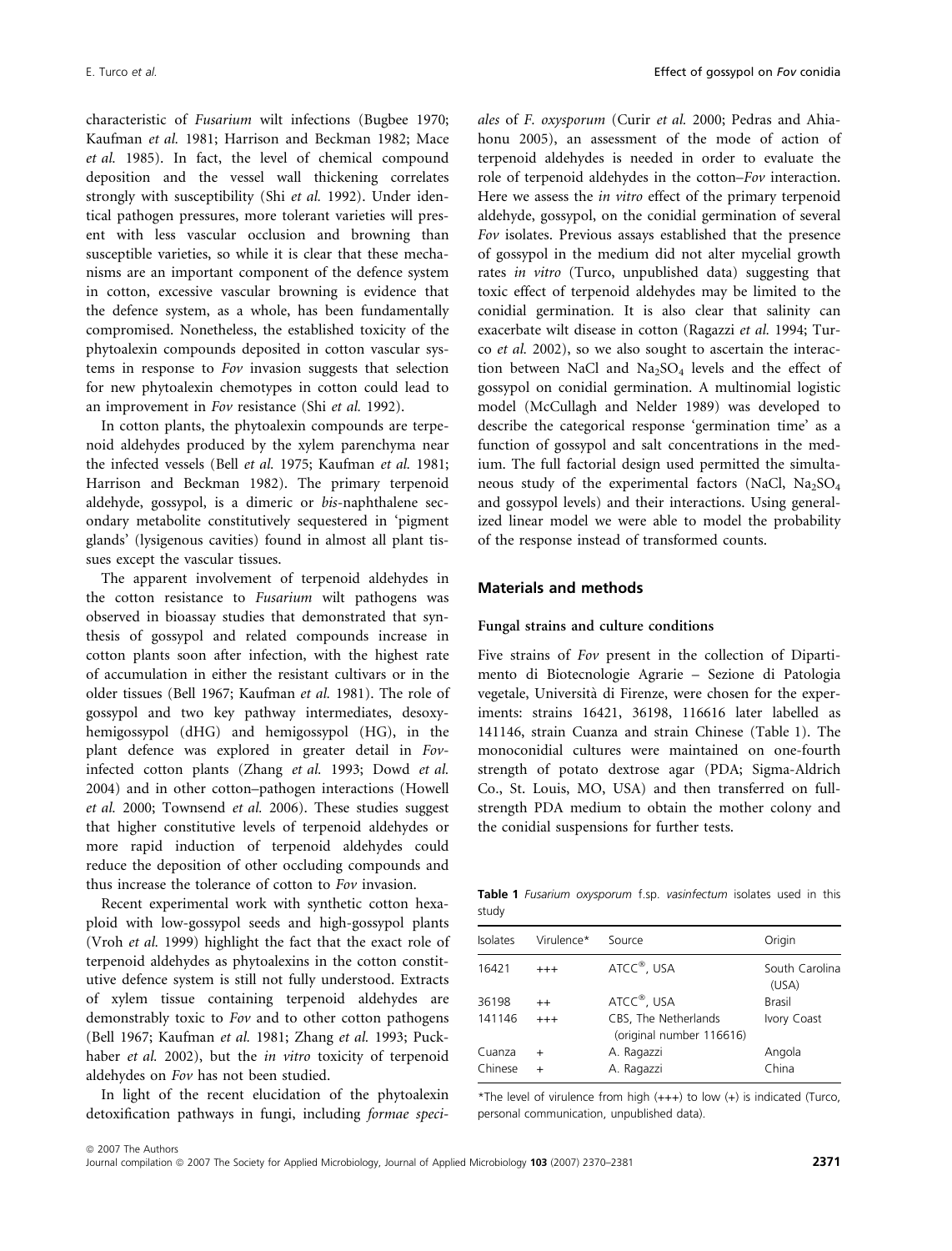characteristic of Fusarium wilt infections (Bugbee 1970; Kaufman et al. 1981; Harrison and Beckman 1982; Mace et al. 1985). In fact, the level of chemical compound deposition and the vessel wall thickening correlates strongly with susceptibility (Shi et al. 1992). Under identical pathogen pressures, more tolerant varieties will present with less vascular occlusion and browning than susceptible varieties, so while it is clear that these mechanisms are an important component of the defence system in cotton, excessive vascular browning is evidence that the defence system, as a whole, has been fundamentally compromised. Nonetheless, the established toxicity of the phytoalexin compounds deposited in cotton vascular systems in response to Fov invasion suggests that selection for new phytoalexin chemotypes in cotton could lead to an improvement in Fov resistance (Shi et al. 1992).

In cotton plants, the phytoalexin compounds are terpenoid aldehydes produced by the xylem parenchyma near the infected vessels (Bell et al. 1975; Kaufman et al. 1981; Harrison and Beckman 1982). The primary terpenoid aldehyde, gossypol, is a dimeric or bis-naphthalene secondary metabolite constitutively sequestered in 'pigment glands' (lysigenous cavities) found in almost all plant tissues except the vascular tissues.

The apparent involvement of terpenoid aldehydes in the cotton resistance to Fusarium wilt pathogens was observed in bioassay studies that demonstrated that synthesis of gossypol and related compounds increase in cotton plants soon after infection, with the highest rate of accumulation in either the resistant cultivars or in the older tissues (Bell 1967; Kaufman et al. 1981). The role of gossypol and two key pathway intermediates, desoxyhemigossypol (dHG) and hemigossypol (HG), in the plant defence was explored in greater detail in Fovinfected cotton plants (Zhang et al. 1993; Dowd et al. 2004) and in other cotton–pathogen interactions (Howell et al. 2000; Townsend et al. 2006). These studies suggest that higher constitutive levels of terpenoid aldehydes or more rapid induction of terpenoid aldehydes could reduce the deposition of other occluding compounds and thus increase the tolerance of cotton to Fov invasion.

Recent experimental work with synthetic cotton hexaploid with low-gossypol seeds and high-gossypol plants (Vroh et al. 1999) highlight the fact that the exact role of terpenoid aldehydes as phytoalexins in the cotton constitutive defence system is still not fully understood. Extracts of xylem tissue containing terpenoid aldehydes are demonstrably toxic to Fov and to other cotton pathogens (Bell 1967; Kaufman et al. 1981; Zhang et al. 1993; Puckhaber et al. 2002), but the in vitro toxicity of terpenoid aldehydes on Fov has not been studied.

In light of the recent elucidation of the phytoalexin detoxification pathways in fungi, including formae speci-

ales of F. oxysporum (Curir et al. 2000; Pedras and Ahiahonu 2005), an assessment of the mode of action of terpenoid aldehydes is needed in order to evaluate the role of terpenoid aldehydes in the cotton–Fov interaction. Here we assess the *in vitro* effect of the primary terpenoid aldehyde, gossypol, on the conidial germination of several Fov isolates. Previous assays established that the presence of gossypol in the medium did not alter mycelial growth rates in vitro (Turco, unpublished data) suggesting that toxic effect of terpenoid aldehydes may be limited to the conidial germination. It is also clear that salinity can exacerbate wilt disease in cotton (Ragazzi et al. 1994; Turco et al. 2002), so we also sought to ascertain the interaction between NaCl and  $Na<sub>2</sub>SO<sub>4</sub>$  levels and the effect of gossypol on conidial germination. A multinomial logistic model (McCullagh and Nelder 1989) was developed to describe the categorical response 'germination time' as a function of gossypol and salt concentrations in the medium. The full factorial design used permitted the simultaneous study of the experimental factors (NaCl, Na<sub>2</sub>SO<sub>4</sub> and gossypol levels) and their interactions. Using generalized linear model we were able to model the probability of the response instead of transformed counts.

## Materials and methods

## Fungal strains and culture conditions

Five strains of Fov present in the collection of Dipartimento di Biotecnologie Agrarie – Sezione di Patologia vegetale, Università di Firenze, were chosen for the experiments: strains 16421, 36198, 116616 later labelled as 141146, strain Cuanza and strain Chinese (Table 1). The monoconidial cultures were maintained on one-fourth strength of potato dextrose agar (PDA; Sigma-Aldrich Co., St. Louis, MO, USA) and then transferred on fullstrength PDA medium to obtain the mother colony and the conidial suspensions for further tests.

Table 1 Fusarium oxysporum f.sp. vasinfectum isolates used in this study

| Isolates | Virulence* | Source                                           | Origin                  |
|----------|------------|--------------------------------------------------|-------------------------|
| 16421    | $+++$      | ATCC <sup>®</sup> , USA                          | South Carolina<br>(USA) |
| 36198    | $^{++}$    | ATCC <sup>®</sup> , USA                          | <b>Brasil</b>           |
| 141146   | $^{+++}$   | CBS, The Netherlands<br>(original number 116616) | Ivory Coast             |
| Cuanza   | $\div$     | A. Ragazzi                                       | Angola                  |
| Chinese  |            | A. Ragazzi                                       | China                   |
|          |            |                                                  |                         |

\*The level of virulence from high (+++) to low (+) is indicated (Turco, personal communication, unpublished data).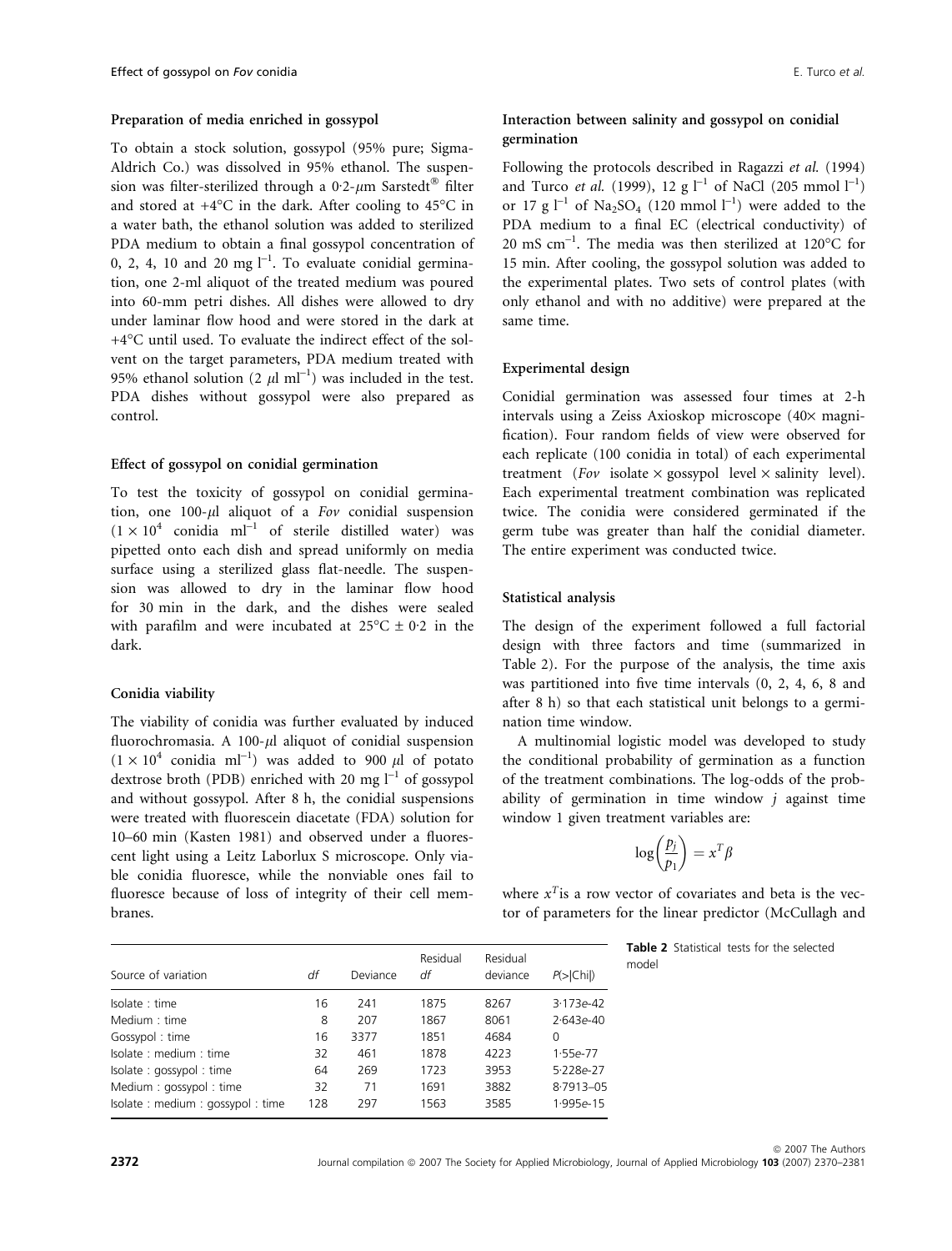## Preparation of media enriched in gossypol

To obtain a stock solution, gossypol (95% pure; Sigma-Aldrich Co.) was dissolved in 95% ethanol. The suspension was filter-sterilized through a 0<sup>.</sup>2- $\mu$ m Sarstedt® filter and stored at  $+4^{\circ}$ C in the dark. After cooling to  $45^{\circ}$ C in a water bath, the ethanol solution was added to sterilized PDA medium to obtain a final gossypol concentration of 0, 2, 4, 10 and 20 mg  $l^{-1}$ . To evaluate conidial germination, one 2-ml aliquot of the treated medium was poured into 60-mm petri dishes. All dishes were allowed to dry under laminar flow hood and were stored in the dark at +4C until used. To evaluate the indirect effect of the solvent on the target parameters, PDA medium treated with 95% ethanol solution (2  $\mu$ l ml<sup>-1</sup>) was included in the test. PDA dishes without gossypol were also prepared as control.

## Effect of gossypol on conidial germination

To test the toxicity of gossypol on conidial germination, one 100- $\mu$ l aliquot of a Fov conidial suspension  $(1 \times 10^4$  conidia ml<sup>-1</sup> of sterile distilled water) was pipetted onto each dish and spread uniformly on media surface using a sterilized glass flat-needle. The suspension was allowed to dry in the laminar flow hood for 30 min in the dark, and the dishes were sealed with parafilm and were incubated at  $25^{\circ}C \pm 0.2$  in the dark.

## Conidia viability

The viability of conidia was further evaluated by induced fluorochromasia. A 100- $\mu$ l aliquot of conidial suspension  $(1 \times 10^4$  conidia ml<sup>-1</sup>) was added to 900 µl of potato dextrose broth (PDB) enriched with 20 mg  $l^{-1}$  of gossypol and without gossypol. After 8 h, the conidial suspensions were treated with fluorescein diacetate (FDA) solution for 10–60 min (Kasten 1981) and observed under a fluorescent light using a Leitz Laborlux S microscope. Only viable conidia fluoresce, while the nonviable ones fail to fluoresce because of loss of integrity of their cell membranes.

# Interaction between salinity and gossypol on conidial germination

Following the protocols described in Ragazzi et al. (1994) and Turco *et al.* (1999), 12 g  $l^{-1}$  of NaCl (205 mmol  $l^{-1}$ ) or 17 g  $l^{-1}$  of Na<sub>2</sub>SO<sub>4</sub> (120 mmol  $l^{-1}$ ) were added to the PDA medium to a final EC (electrical conductivity) of 20 mS cm<sup>-1</sup>. The media was then sterilized at  $120^{\circ}$ C for 15 min. After cooling, the gossypol solution was added to the experimental plates. Two sets of control plates (with only ethanol and with no additive) were prepared at the same time.

## Experimental design

Conidial germination was assessed four times at 2-h intervals using a Zeiss Axioskop microscope (40× magnification). Four random fields of view were observed for each replicate (100 conidia in total) of each experimental treatment (Fov isolate  $\times$  gossypol level  $\times$  salinity level). Each experimental treatment combination was replicated twice. The conidia were considered germinated if the germ tube was greater than half the conidial diameter. The entire experiment was conducted twice.

### Statistical analysis

The design of the experiment followed a full factorial design with three factors and time (summarized in Table 2). For the purpose of the analysis, the time axis was partitioned into five time intervals (0, 2, 4, 6, 8 and after 8 h) so that each statistical unit belongs to a germination time window.

A multinomial logistic model was developed to study the conditional probability of germination as a function of the treatment combinations. The log-odds of the probability of germination in time window  $j$  against time window 1 given treatment variables are:

$$
\log\left(\frac{p_j}{p_1}\right) = x^T \beta
$$

where  $x^T$  is a row vector of covariates and beta is the vector of parameters for the linear predictor (McCullagh and

| Source of variation             | df  | Deviance | Residual<br>df | Residual<br>deviance | $P(>\vert$ Chi ) | Table 2 St<br>model |
|---------------------------------|-----|----------|----------------|----------------------|------------------|---------------------|
| Isolate: time                   | 16  | 241      | 1875           | 8267                 | $3.173e-42$      |                     |
| Medium : time                   | 8   | 207      | 1867           | 8061                 | $2.643e-40$      |                     |
| Gossypol: time                  | 16  | 3377     | 1851           | 4684                 | 0                |                     |
| Isolate: medium: time           | 32  | 461      | 1878           | 4223                 | $1.55e-77$       |                     |
| Isolate: gossypol: time         | 64  | 269      | 1723           | 3953                 | $5.228e-27$      |                     |
| Medium: gossypol: time          | 32  | 71       | 1691           | 3882                 | $8.7913 - 05$    |                     |
| Isolate: medium: gossypol: time | 128 | 297      | 1563           | 3585                 | 1.995e-15        |                     |
|                                 |     |          |                |                      |                  |                     |

atistical tests for the selected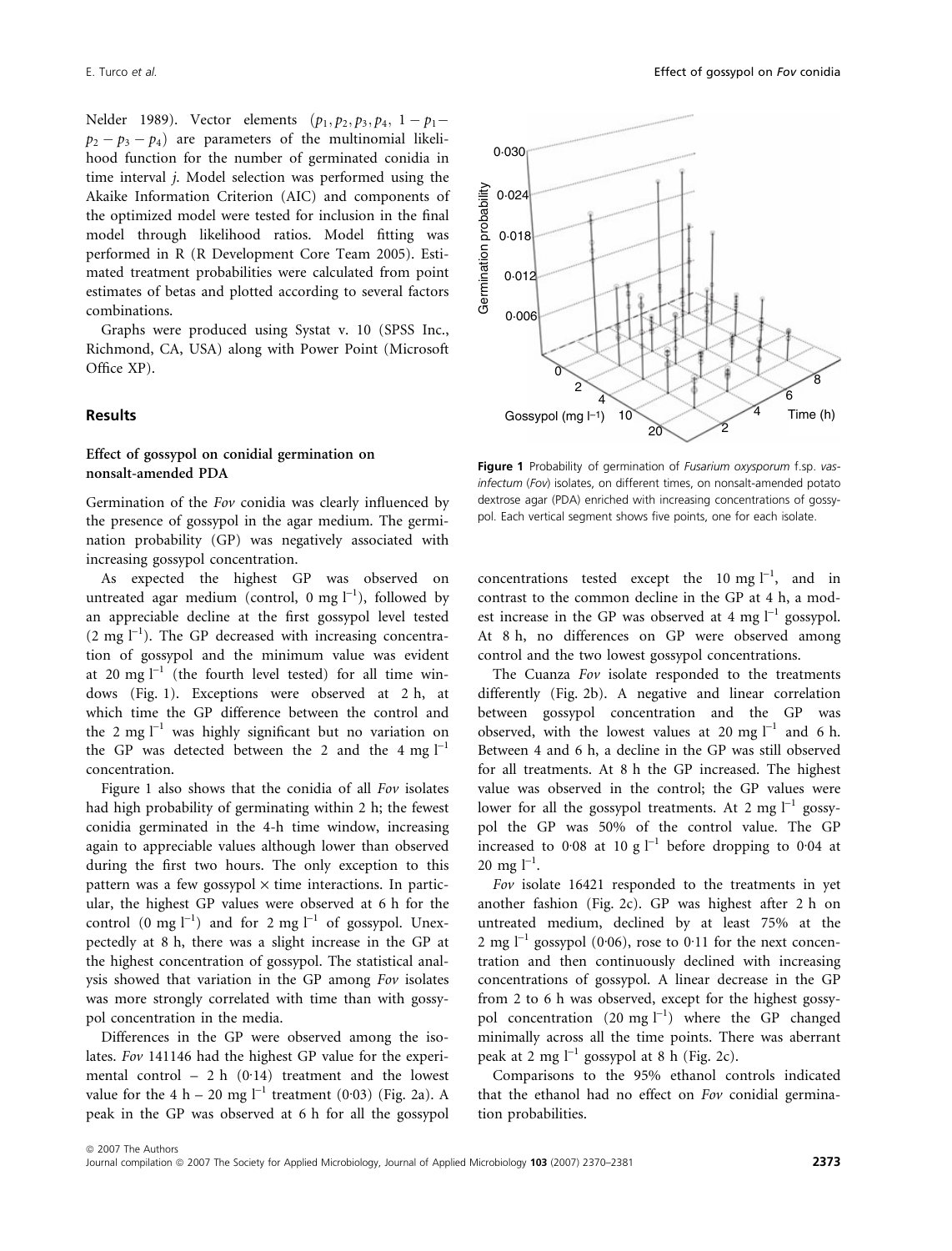Nelder 1989). Vector elements  $(p_1, p_2, p_3, p_4, 1 - p_1 (p_2 - p_3 - p_4)$  are parameters of the multinomial likelihood function for the number of germinated conidia in time interval j. Model selection was performed using the Akaike Information Criterion (AIC) and components of the optimized model were tested for inclusion in the final model through likelihood ratios. Model fitting was performed in R (R Development Core Team 2005). Estimated treatment probabilities were calculated from point estimates of betas and plotted according to several factors combinations.

Graphs were produced using Systat v. 10 (SPSS Inc., Richmond, CA, USA) along with Power Point (Microsoft Office XP).

## Results

## Effect of gossypol on conidial germination on nonsalt-amended PDA

Germination of the Fov conidia was clearly influenced by the presence of gossypol in the agar medium. The germination probability (GP) was negatively associated with increasing gossypol concentration.

As expected the highest GP was observed on untreated agar medium (control, 0 mg  $l^{-1}$ ), followed by an appreciable decline at the first gossypol level tested  $(2 \text{ mg } l^{-1})$ . The GP decreased with increasing concentration of gossypol and the minimum value was evident at 20 mg  $l^{-1}$  (the fourth level tested) for all time windows (Fig. 1). Exceptions were observed at 2 h, at which time the GP difference between the control and the 2 mg  $l^{-1}$  was highly significant but no variation on the GP was detected between the 2 and the 4 mg  $l^{-1}$ concentration.

Figure 1 also shows that the conidia of all Fov isolates had high probability of germinating within 2 h; the fewest conidia germinated in the 4-h time window, increasing again to appreciable values although lower than observed during the first two hours. The only exception to this pattern was a few gossypol  $\times$  time interactions. In particular, the highest GP values were observed at 6 h for the control (0 mg  $l^{-1}$ ) and for 2 mg  $l^{-1}$  of gossypol. Unexpectedly at 8 h, there was a slight increase in the GP at the highest concentration of gossypol. The statistical analysis showed that variation in the GP among Fov isolates was more strongly correlated with time than with gossypol concentration in the media.

Differences in the GP were observed among the isolates. Fov 141146 had the highest GP value for the experimental control – 2 h  $(0.14)$  treatment and the lowest value for the 4 h – 20 mg  $l^{-1}$  treatment (0.03) (Fig. 2a). A peak in the GP was observed at 6 h for all the gossypol



Figure 1 Probability of germination of *Fusarium oxysporum* f.sp. vasinfectum (Fov) isolates, on different times, on nonsalt-amended potato dextrose agar (PDA) enriched with increasing concentrations of gossypol. Each vertical segment shows five points, one for each isolate.

concentrations tested except the 10 mg  $l^{-1}$ , and in contrast to the common decline in the GP at 4 h, a modest increase in the GP was observed at 4 mg  $l^{-1}$  gossypol. At 8 h, no differences on GP were observed among control and the two lowest gossypol concentrations.

The Cuanza Fov isolate responded to the treatments differently (Fig. 2b). A negative and linear correlation between gossypol concentration and the GP was observed, with the lowest values at 20 mg  $l^{-1}$  and 6 h. Between 4 and 6 h, a decline in the GP was still observed for all treatments. At 8 h the GP increased. The highest value was observed in the control; the GP values were lower for all the gossypol treatments. At 2 mg  $l^{-1}$  gossypol the GP was 50% of the control value. The GP increased to 0.08 at 10 g  $l^{-1}$  before dropping to 0.04 at  $20 \text{ mg } l^{-1}$ .

Fov isolate 16421 responded to the treatments in yet another fashion (Fig. 2c). GP was highest after 2 h on untreated medium, declined by at least 75% at the 2 mg  $\lfloor -1 \rfloor$  gossypol (0.06), rose to 0.11 for the next concentration and then continuously declined with increasing concentrations of gossypol. A linear decrease in the GP from 2 to 6 h was observed, except for the highest gossypol concentration  $(20 \text{ mg l}^{-1})$  where the GP changed minimally across all the time points. There was aberrant peak at 2 mg  $l^{-1}$  gossypol at 8 h (Fig. 2c).

Comparisons to the 95% ethanol controls indicated that the ethanol had no effect on Fov conidial germination probabilities.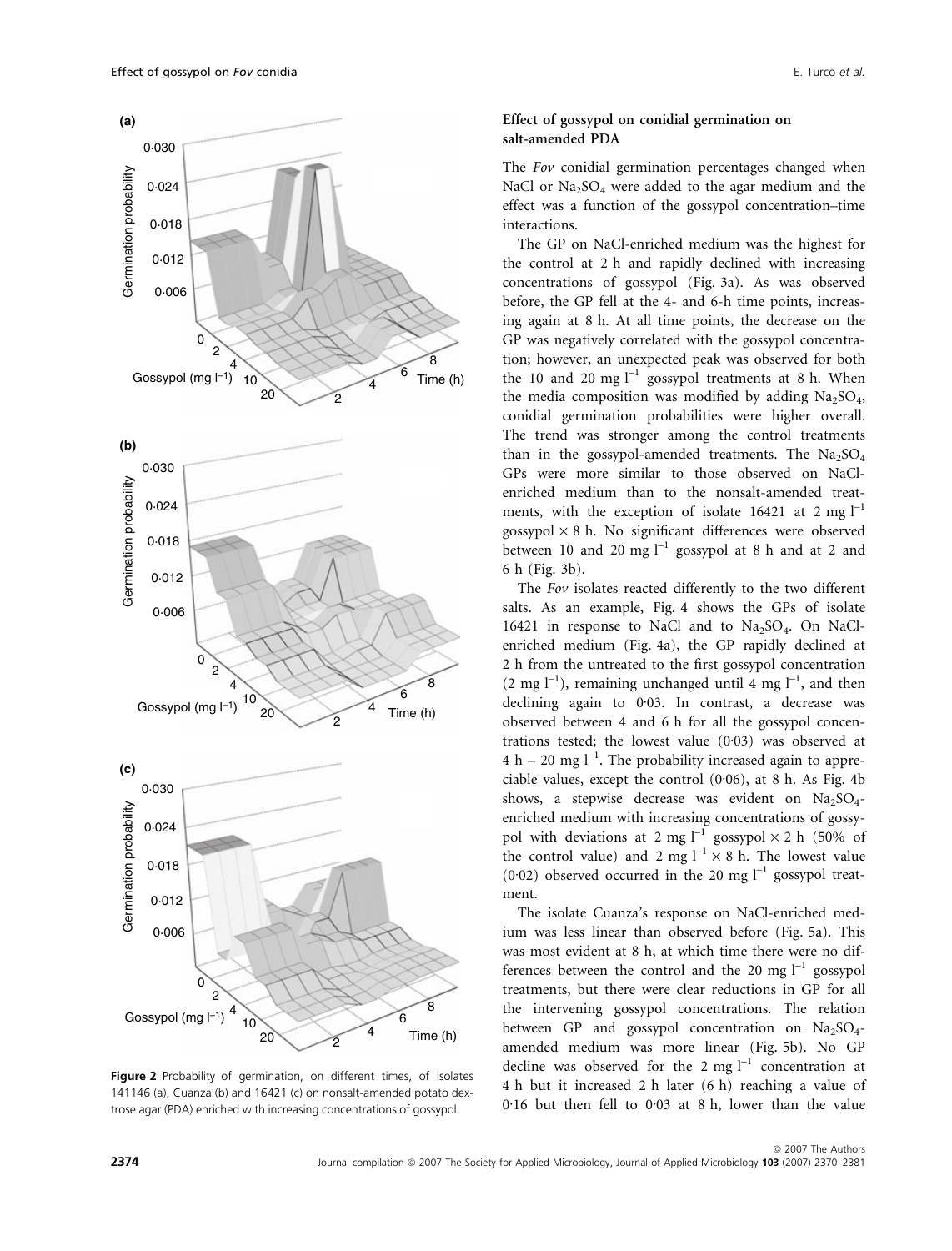

Figure 2 Probability of germination, on different times, of isolates 141146 (a), Cuanza (b) and 16421 (c) on nonsalt-amended potato dextrose agar (PDA) enriched with increasing concentrations of gossypol.

## Effect of gossypol on conidial germination on salt-amended PDA

The Fov conidial germination percentages changed when NaCl or  $Na<sub>2</sub>SO<sub>4</sub>$  were added to the agar medium and the effect was a function of the gossypol concentration–time interactions.

The GP on NaCl-enriched medium was the highest for the control at 2 h and rapidly declined with increasing concentrations of gossypol (Fig. 3a). As was observed before, the GP fell at the 4- and 6-h time points, increasing again at 8 h. At all time points, the decrease on the GP was negatively correlated with the gossypol concentration; however, an unexpected peak was observed for both the 10 and 20 mg  $I^{-1}$  gossypol treatments at 8 h. When the media composition was modified by adding  $Na<sub>2</sub>SO<sub>4</sub>$ , conidial germination probabilities were higher overall. The trend was stronger among the control treatments than in the gossypol-amended treatments. The  $Na<sub>2</sub>SO<sub>4</sub>$ GPs were more similar to those observed on NaClenriched medium than to the nonsalt-amended treatments, with the exception of isolate 16421 at 2 mg  $l^{-1}$ gossypol  $\times$  8 h. No significant differences were observed between 10 and 20 mg  $l^{-1}$  gossypol at 8 h and at 2 and 6 h (Fig. 3b).

The Fov isolates reacted differently to the two different salts. As an example, Fig. 4 shows the GPs of isolate 16421 in response to NaCl and to  $Na<sub>2</sub>SO<sub>4</sub>$ . On NaClenriched medium (Fig. 4a), the GP rapidly declined at 2 h from the untreated to the first gossypol concentration  $(2 \text{ mg } l^{-1})$ , remaining unchanged until 4 mg  $l^{-1}$ , and then declining again to  $0.03$ . In contrast, a decrease was observed between 4 and 6 h for all the gossypol concentrations tested; the lowest value  $(0.03)$  was observed at  $4 h - 20 mg l^{-1}$ . The probability increased again to appreciable values, except the control  $(0.06)$ , at 8 h. As Fig. 4b shows, a stepwise decrease was evident on  $Na<sub>2</sub>SO<sub>4</sub>$ enriched medium with increasing concentrations of gossypol with deviations at 2 mg  $l^{-1}$  gossypol  $\times$  2 h (50% of the control value) and 2 mg  $l^{-1} \times 8$  h. The lowest value (0.02) observed occurred in the 20 mg  $l^{-1}$  gossypol treatment.

The isolate Cuanza's response on NaCl-enriched medium was less linear than observed before (Fig. 5a). This was most evident at 8 h, at which time there were no differences between the control and the 20 mg  $l^{-1}$  gossypol treatments, but there were clear reductions in GP for all the intervening gossypol concentrations. The relation between GP and gossypol concentration on  $Na<sub>2</sub>SO<sub>4</sub>$ amended medium was more linear (Fig. 5b). No GP decline was observed for the 2 mg  $I^{-1}$  concentration at 4 h but it increased 2 h later (6 h) reaching a value of  $0.16$  but then fell to  $0.03$  at 8 h, lower than the value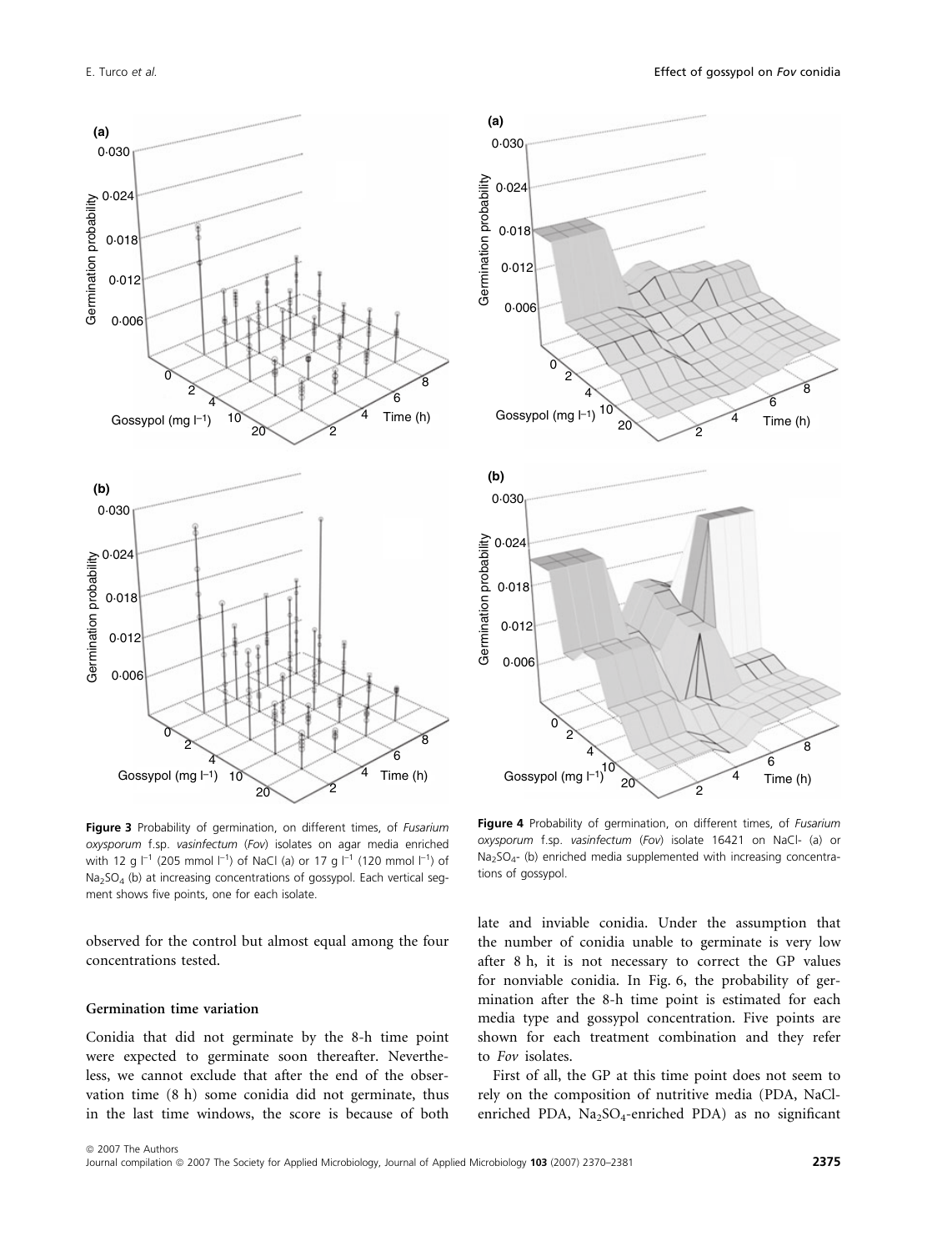

Figure 3 Probability of germination, on different times, of Fusarium oxysporum f.sp. vasinfectum (Fov) isolates on agar media enriched with 12 g  $\vert^{-1}$  (205 mmol  $\vert^{-1}$ ) of NaCl (a) or 17 g  $\vert^{-1}$  (120 mmol  $\vert^{-1}$ ) of Na2SO4 (b) at increasing concentrations of gossypol. Each vertical segment shows five points, one for each isolate.

observed for the control but almost equal among the four concentrations tested.

## Germination time variation

Conidia that did not germinate by the 8-h time point were expected to germinate soon thereafter. Nevertheless, we cannot exclude that after the end of the observation time (8 h) some conidia did not germinate, thus in the last time windows, the score is because of both



Figure 4 Probability of germination, on different times, of Fusarium oxysporum f.sp. vasinfectum (Fov) isolate 16421 on NaCl- (a) or Na2SO4- (b) enriched media supplemented with increasing concentrations of gossypol.

late and inviable conidia. Under the assumption that the number of conidia unable to germinate is very low after 8 h, it is not necessary to correct the GP values for nonviable conidia. In Fig. 6, the probability of germination after the 8-h time point is estimated for each media type and gossypol concentration. Five points are shown for each treatment combination and they refer to Fov isolates.

First of all, the GP at this time point does not seem to rely on the composition of nutritive media (PDA, NaClenriched PDA, Na<sub>2</sub>SO<sub>4</sub>-enriched PDA) as no significant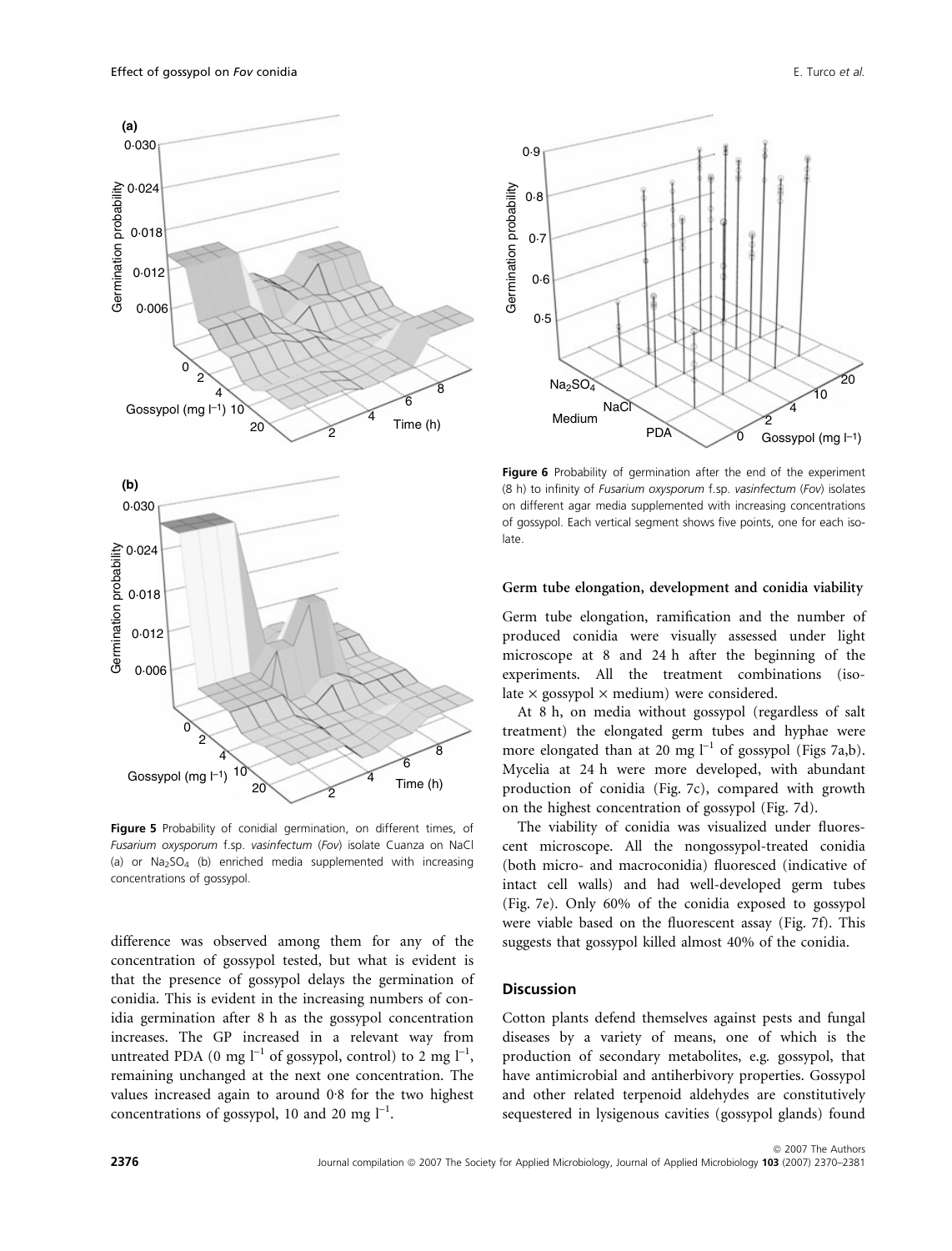

Figure 5 Probability of conidial germination, on different times, of Fusarium oxysporum f.sp. vasinfectum (Fov) isolate Cuanza on NaCl (a) or  $Na<sub>2</sub>SO<sub>4</sub>$  (b) enriched media supplemented with increasing concentrations of gossypol.

difference was observed among them for any of the concentration of gossypol tested, but what is evident is that the presence of gossypol delays the germination of conidia. This is evident in the increasing numbers of conidia germination after 8 h as the gossypol concentration increases. The GP increased in a relevant way from untreated PDA (0 mg  $l^{-1}$  of gossypol, control) to 2 mg  $l^{-1}$ , remaining unchanged at the next one concentration. The values increased again to around  $0.8$  for the two highest concentrations of gossypol, 10 and 20 mg  $l^{-1}$ .



Figure 6 Probability of germination after the end of the experiment (8 h) to infinity of Fusarium oxysporum f.sp. vasinfectum (Fov) isolates on different agar media supplemented with increasing concentrations of gossypol. Each vertical segment shows five points, one for each isolate.

## Germ tube elongation, development and conidia viability

Germ tube elongation, ramification and the number of produced conidia were visually assessed under light microscope at 8 and 24 h after the beginning of the experiments. All the treatment combinations (isolate  $\times$  gossypol  $\times$  medium) were considered.

At 8 h, on media without gossypol (regardless of salt treatment) the elongated germ tubes and hyphae were more elongated than at 20 mg  $l^{-1}$  of gossypol (Figs 7a,b). Mycelia at 24 h were more developed, with abundant production of conidia (Fig. 7c), compared with growth on the highest concentration of gossypol (Fig. 7d).

The viability of conidia was visualized under fluorescent microscope. All the nongossypol-treated conidia (both micro- and macroconidia) fluoresced (indicative of intact cell walls) and had well-developed germ tubes (Fig. 7e). Only 60% of the conidia exposed to gossypol were viable based on the fluorescent assay (Fig. 7f). This suggests that gossypol killed almost 40% of the conidia.

## **Discussion**

Cotton plants defend themselves against pests and fungal diseases by a variety of means, one of which is the production of secondary metabolites, e.g. gossypol, that have antimicrobial and antiherbivory properties. Gossypol and other related terpenoid aldehydes are constitutively sequestered in lysigenous cavities (gossypol glands) found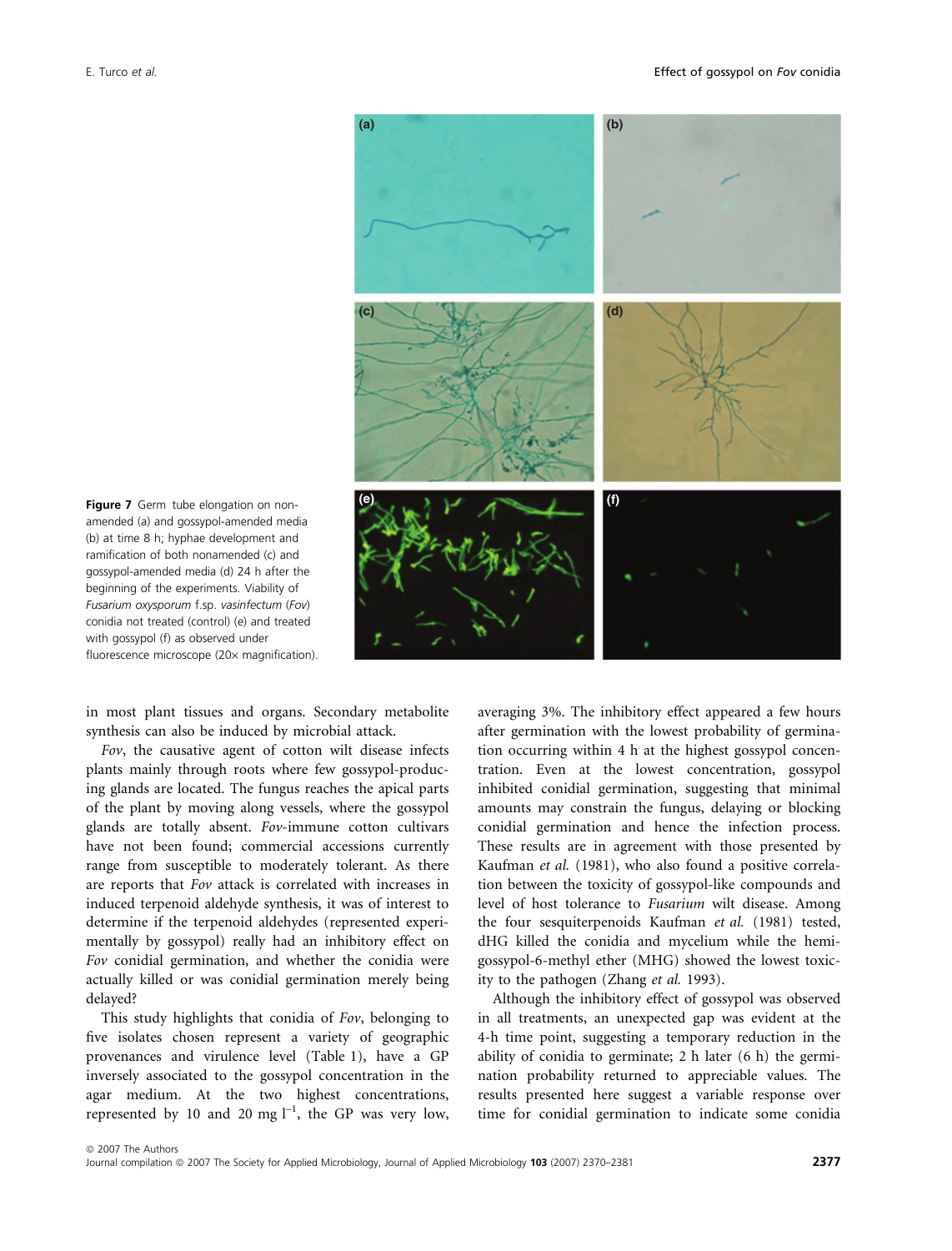

amended (a) and gossypol-amended media (b) at time 8 h; hyphae development and ramification of both nonamended (c) and gossypol-amended media (d) 24 h after the beginning of the experiments. Viability of Fusarium oxysporum f.sp. vasinfectum (Fov) conidia not treated (control) (e) and treated with gossypol (f) as observed under fluorescence microscope (20x magnification).

in most plant tissues and organs. Secondary metabolite synthesis can also be induced by microbial attack.

Fov, the causative agent of cotton wilt disease infects plants mainly through roots where few gossypol-producing glands are located. The fungus reaches the apical parts of the plant by moving along vessels, where the gossypol glands are totally absent. Fov-immune cotton cultivars have not been found; commercial accessions currently range from susceptible to moderately tolerant. As there are reports that Fov attack is correlated with increases in induced terpenoid aldehyde synthesis, it was of interest to determine if the terpenoid aldehydes (represented experimentally by gossypol) really had an inhibitory effect on Fov conidial germination, and whether the conidia were actually killed or was conidial germination merely being delayed?

This study highlights that conidia of Fov, belonging to five isolates chosen represent a variety of geographic provenances and virulence level (Table 1), have a GP inversely associated to the gossypol concentration in the agar medium. At the two highest concentrations, represented by 10 and 20 mg  $l^{-1}$ , the GP was very low,

averaging 3%. The inhibitory effect appeared a few hours after germination with the lowest probability of germination occurring within 4 h at the highest gossypol concentration. Even at the lowest concentration, gossypol inhibited conidial germination, suggesting that minimal amounts may constrain the fungus, delaying or blocking conidial germination and hence the infection process. These results are in agreement with those presented by Kaufman et al. (1981), who also found a positive correlation between the toxicity of gossypol-like compounds and level of host tolerance to Fusarium wilt disease. Among the four sesquiterpenoids Kaufman et al. (1981) tested, dHG killed the conidia and mycelium while the hemigossypol-6-methyl ether (MHG) showed the lowest toxicity to the pathogen (Zhang et al. 1993).

Although the inhibitory effect of gossypol was observed in all treatments, an unexpected gap was evident at the 4-h time point, suggesting a temporary reduction in the ability of conidia to germinate; 2 h later (6 h) the germination probability returned to appreciable values. The results presented here suggest a variable response over time for conidial germination to indicate some conidia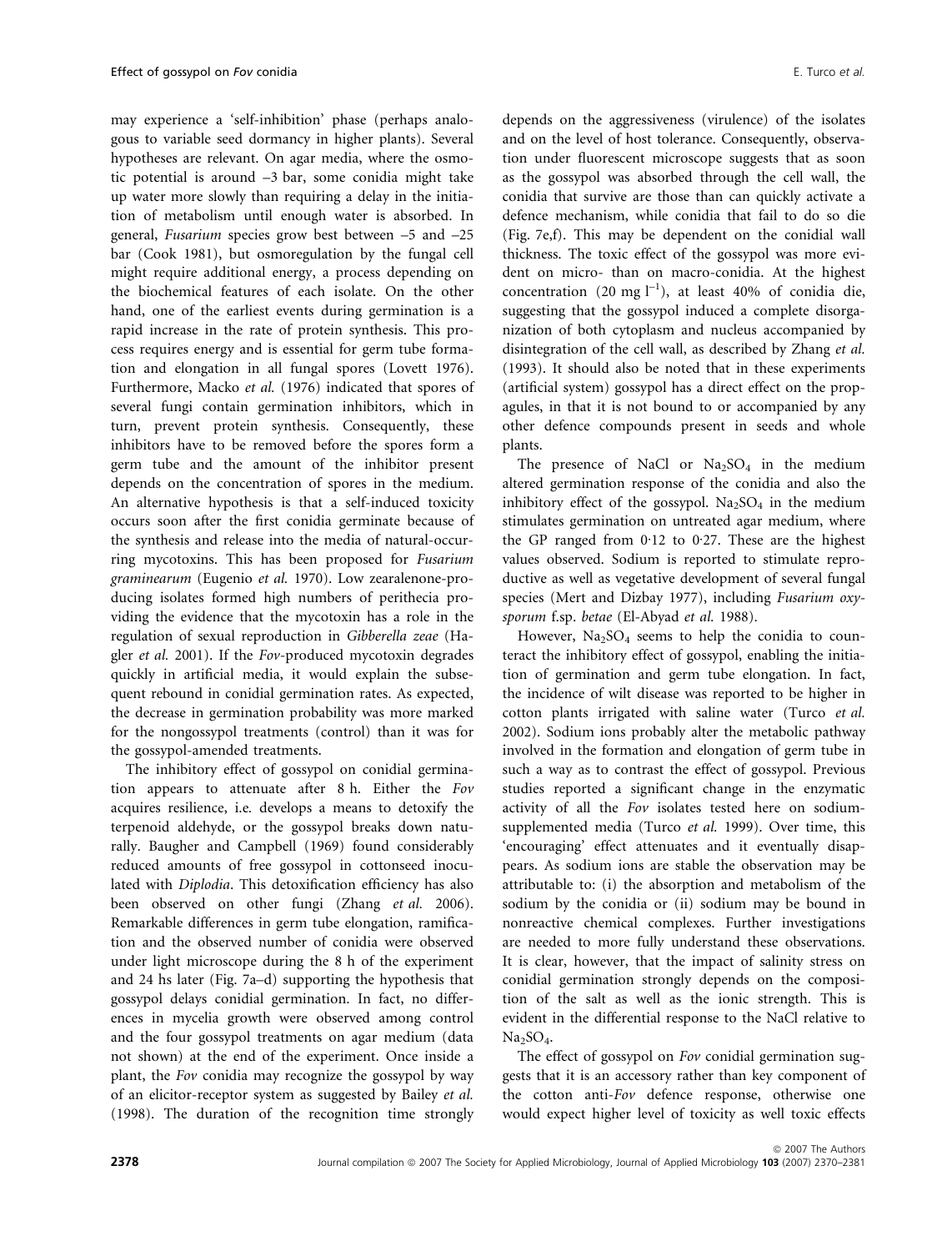may experience a 'self-inhibition' phase (perhaps analogous to variable seed dormancy in higher plants). Several hypotheses are relevant. On agar media, where the osmotic potential is around –3 bar, some conidia might take up water more slowly than requiring a delay in the initiation of metabolism until enough water is absorbed. In general, Fusarium species grow best between –5 and –25 bar (Cook 1981), but osmoregulation by the fungal cell might require additional energy, a process depending on the biochemical features of each isolate. On the other hand, one of the earliest events during germination is a rapid increase in the rate of protein synthesis. This process requires energy and is essential for germ tube formation and elongation in all fungal spores (Lovett 1976). Furthermore, Macko et al. (1976) indicated that spores of several fungi contain germination inhibitors, which in turn, prevent protein synthesis. Consequently, these inhibitors have to be removed before the spores form a germ tube and the amount of the inhibitor present depends on the concentration of spores in the medium. An alternative hypothesis is that a self-induced toxicity occurs soon after the first conidia germinate because of the synthesis and release into the media of natural-occurring mycotoxins. This has been proposed for Fusarium graminearum (Eugenio et al. 1970). Low zearalenone-producing isolates formed high numbers of perithecia providing the evidence that the mycotoxin has a role in the regulation of sexual reproduction in Gibberella zeae (Hagler et al. 2001). If the Fov-produced mycotoxin degrades quickly in artificial media, it would explain the subsequent rebound in conidial germination rates. As expected, the decrease in germination probability was more marked for the nongossypol treatments (control) than it was for the gossypol-amended treatments.

The inhibitory effect of gossypol on conidial germination appears to attenuate after 8 h. Either the Fov acquires resilience, i.e. develops a means to detoxify the terpenoid aldehyde, or the gossypol breaks down naturally. Baugher and Campbell (1969) found considerably reduced amounts of free gossypol in cottonseed inoculated with Diplodia. This detoxification efficiency has also been observed on other fungi (Zhang et al. 2006). Remarkable differences in germ tube elongation, ramification and the observed number of conidia were observed under light microscope during the 8 h of the experiment and 24 hs later (Fig. 7a–d) supporting the hypothesis that gossypol delays conidial germination. In fact, no differences in mycelia growth were observed among control and the four gossypol treatments on agar medium (data not shown) at the end of the experiment. Once inside a plant, the Fov conidia may recognize the gossypol by way of an elicitor-receptor system as suggested by Bailey et al. (1998). The duration of the recognition time strongly depends on the aggressiveness (virulence) of the isolates and on the level of host tolerance. Consequently, observation under fluorescent microscope suggests that as soon as the gossypol was absorbed through the cell wall, the conidia that survive are those than can quickly activate a defence mechanism, while conidia that fail to do so die (Fig. 7e,f). This may be dependent on the conidial wall thickness. The toxic effect of the gossypol was more evident on micro- than on macro-conidia. At the highest concentration (20 mg  $l^{-1}$ ), at least 40% of conidia die, suggesting that the gossypol induced a complete disorganization of both cytoplasm and nucleus accompanied by disintegration of the cell wall, as described by Zhang et al. (1993). It should also be noted that in these experiments (artificial system) gossypol has a direct effect on the propagules, in that it is not bound to or accompanied by any other defence compounds present in seeds and whole plants.

The presence of NaCl or  $Na<sub>2</sub>SO<sub>4</sub>$  in the medium altered germination response of the conidia and also the inhibitory effect of the gossypol.  $Na<sub>2</sub>SO<sub>4</sub>$  in the medium stimulates germination on untreated agar medium, where the GP ranged from  $0.12$  to  $0.27$ . These are the highest values observed. Sodium is reported to stimulate reproductive as well as vegetative development of several fungal species (Mert and Dizbay 1977), including Fusarium oxysporum f.sp. betae (El-Abyad et al. 1988).

However,  $Na<sub>2</sub>SO<sub>4</sub>$  seems to help the conidia to counteract the inhibitory effect of gossypol, enabling the initiation of germination and germ tube elongation. In fact, the incidence of wilt disease was reported to be higher in cotton plants irrigated with saline water (Turco et al. 2002). Sodium ions probably alter the metabolic pathway involved in the formation and elongation of germ tube in such a way as to contrast the effect of gossypol. Previous studies reported a significant change in the enzymatic activity of all the Fov isolates tested here on sodiumsupplemented media (Turco et al. 1999). Over time, this 'encouraging' effect attenuates and it eventually disappears. As sodium ions are stable the observation may be attributable to: (i) the absorption and metabolism of the sodium by the conidia or (ii) sodium may be bound in nonreactive chemical complexes. Further investigations are needed to more fully understand these observations. It is clear, however, that the impact of salinity stress on conidial germination strongly depends on the composition of the salt as well as the ionic strength. This is evident in the differential response to the NaCl relative to  $Na<sub>2</sub>SO<sub>4</sub>$ .

The effect of gossypol on Fov conidial germination suggests that it is an accessory rather than key component of the cotton anti-Fov defence response, otherwise one would expect higher level of toxicity as well toxic effects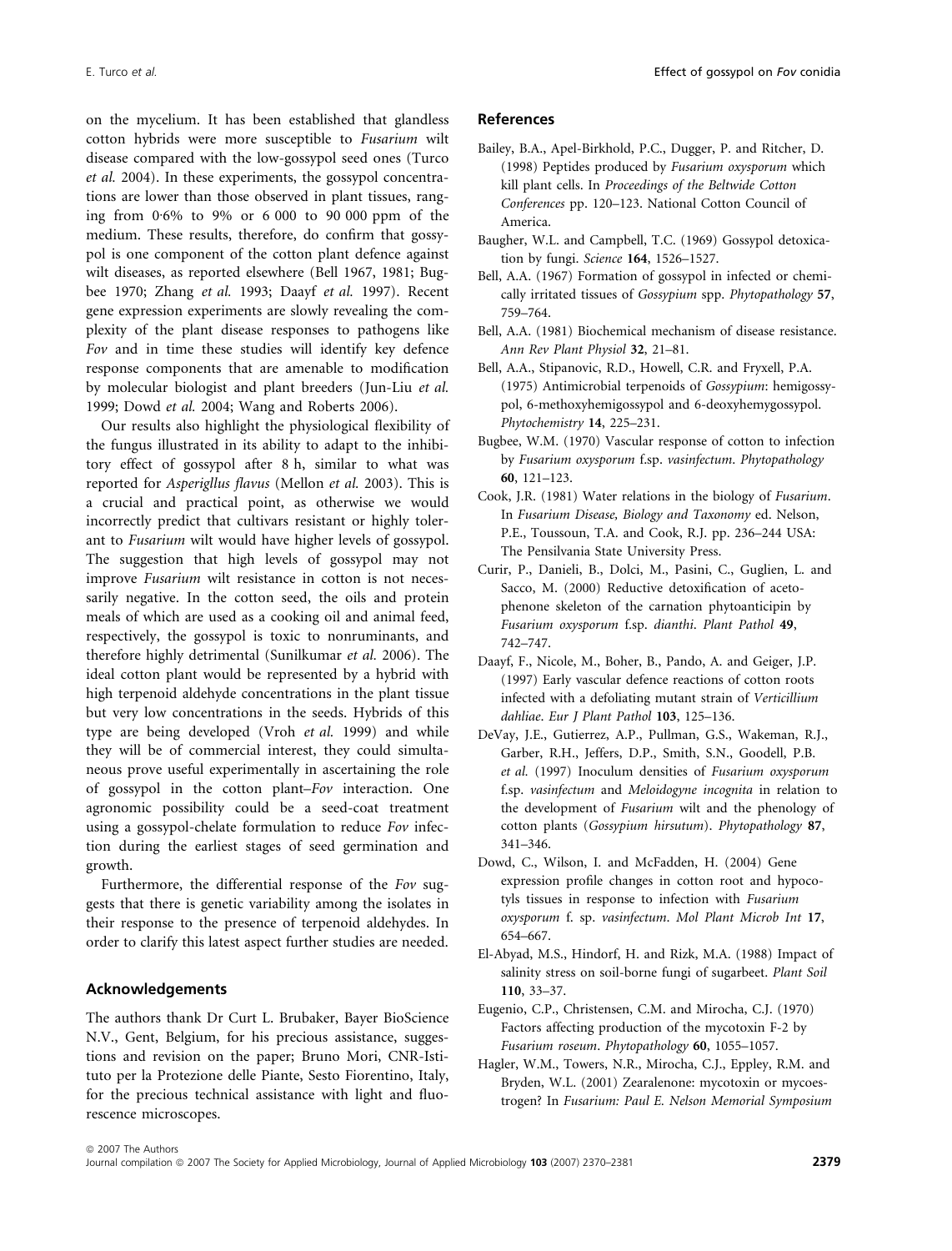on the mycelium. It has been established that glandless cotton hybrids were more susceptible to Fusarium wilt disease compared with the low-gossypol seed ones (Turco et al. 2004). In these experiments, the gossypol concentrations are lower than those observed in plant tissues, ranging from 0.6% to 9% or 6 000 to 90 000 ppm of the medium. These results, therefore, do confirm that gossypol is one component of the cotton plant defence against wilt diseases, as reported elsewhere (Bell 1967, 1981; Bugbee 1970; Zhang et al. 1993; Daayf et al. 1997). Recent gene expression experiments are slowly revealing the complexity of the plant disease responses to pathogens like Fov and in time these studies will identify key defence response components that are amenable to modification by molecular biologist and plant breeders (Jun-Liu et al. 1999; Dowd et al. 2004; Wang and Roberts 2006).

Our results also highlight the physiological flexibility of the fungus illustrated in its ability to adapt to the inhibitory effect of gossypol after 8 h, similar to what was reported for Asperigllus flavus (Mellon et al. 2003). This is a crucial and practical point, as otherwise we would incorrectly predict that cultivars resistant or highly tolerant to Fusarium wilt would have higher levels of gossypol. The suggestion that high levels of gossypol may not improve Fusarium wilt resistance in cotton is not necessarily negative. In the cotton seed, the oils and protein meals of which are used as a cooking oil and animal feed, respectively, the gossypol is toxic to nonruminants, and therefore highly detrimental (Sunilkumar et al. 2006). The ideal cotton plant would be represented by a hybrid with high terpenoid aldehyde concentrations in the plant tissue but very low concentrations in the seeds. Hybrids of this type are being developed (Vroh et al. 1999) and while they will be of commercial interest, they could simultaneous prove useful experimentally in ascertaining the role of gossypol in the cotton plant–Fov interaction. One agronomic possibility could be a seed-coat treatment using a gossypol-chelate formulation to reduce Fov infection during the earliest stages of seed germination and growth.

Furthermore, the differential response of the Fov suggests that there is genetic variability among the isolates in their response to the presence of terpenoid aldehydes. In order to clarify this latest aspect further studies are needed.

## Acknowledgements

The authors thank Dr Curt L. Brubaker, Bayer BioScience N.V., Gent, Belgium, for his precious assistance, suggestions and revision on the paper; Bruno Mori, CNR-Istituto per la Protezione delle Piante, Sesto Fiorentino, Italy, for the precious technical assistance with light and fluorescence microscopes.

### References

- Bailey, B.A., Apel-Birkhold, P.C., Dugger, P. and Ritcher, D. (1998) Peptides produced by Fusarium oxysporum which kill plant cells. In Proceedings of the Beltwide Cotton Conferences pp. 120–123. National Cotton Council of America.
- Baugher, W.L. and Campbell, T.C. (1969) Gossypol detoxication by fungi. Science 164, 1526–1527.
- Bell, A.A. (1967) Formation of gossypol in infected or chemically irritated tissues of Gossypium spp. Phytopathology 57, 759–764.
- Bell, A.A. (1981) Biochemical mechanism of disease resistance. Ann Rev Plant Physiol 32, 21–81.
- Bell, A.A., Stipanovic, R.D., Howell, C.R. and Fryxell, P.A. (1975) Antimicrobial terpenoids of Gossypium: hemigossypol, 6-methoxyhemigossypol and 6-deoxyhemygossypol. Phytochemistry 14, 225–231.
- Bugbee, W.M. (1970) Vascular response of cotton to infection by Fusarium oxysporum f.sp. vasinfectum. Phytopathology 60, 121–123.
- Cook, J.R. (1981) Water relations in the biology of Fusarium. In Fusarium Disease, Biology and Taxonomy ed. Nelson, P.E., Toussoun, T.A. and Cook, R.J. pp. 236–244 USA: The Pensilvania State University Press.
- Curir, P., Danieli, B., Dolci, M., Pasini, C., Guglien, L. and Sacco, M. (2000) Reductive detoxification of acetophenone skeleton of the carnation phytoanticipin by Fusarium oxysporum f.sp. dianthi. Plant Pathol 49, 742–747.
- Daayf, F., Nicole, M., Boher, B., Pando, A. and Geiger, J.P. (1997) Early vascular defence reactions of cotton roots infected with a defoliating mutant strain of Verticillium dahliae. Eur J Plant Pathol 103, 125-136.
- DeVay, J.E., Gutierrez, A.P., Pullman, G.S., Wakeman, R.J., Garber, R.H., Jeffers, D.P., Smith, S.N., Goodell, P.B. et al. (1997) Inoculum densities of Fusarium oxysporum f.sp. vasinfectum and Meloidogyne incognita in relation to the development of Fusarium wilt and the phenology of cotton plants (Gossypium hirsutum). Phytopathology 87, 341–346.
- Dowd, C., Wilson, I. and McFadden, H. (2004) Gene expression profile changes in cotton root and hypocotyls tissues in response to infection with Fusarium oxysporum f. sp. vasinfectum. Mol Plant Microb Int 17, 654–667.
- El-Abyad, M.S., Hindorf, H. and Rizk, M.A. (1988) Impact of salinity stress on soil-borne fungi of sugarbeet. Plant Soil 110, 33–37.
- Eugenio, C.P., Christensen, C.M. and Mirocha, C.J. (1970) Factors affecting production of the mycotoxin F-2 by Fusarium roseum. Phytopathology 60, 1055–1057.
- Hagler, W.M., Towers, N.R., Mirocha, C.J., Eppley, R.M. and Bryden, W.L. (2001) Zearalenone: mycotoxin or mycoestrogen? In Fusarium: Paul E. Nelson Memorial Symposium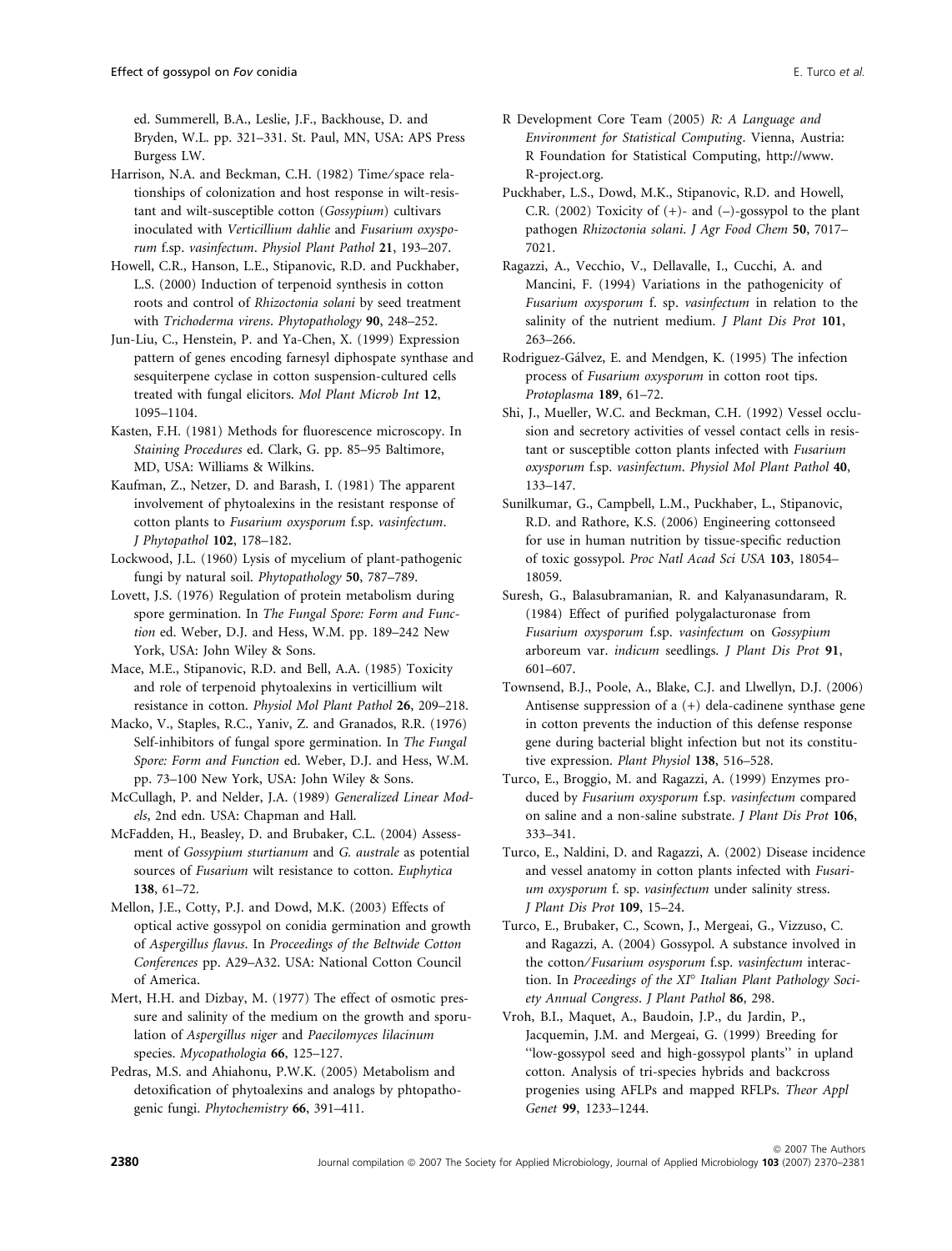ed. Summerell, B.A., Leslie, J.F., Backhouse, D. and Bryden, W.L. pp. 321–331. St. Paul, MN, USA: APS Press Burgess LW.

Harrison, N.A. and Beckman, C.H. (1982) Time/space relationships of colonization and host response in wilt-resistant and wilt-susceptible cotton (Gossypium) cultivars inoculated with Verticillium dahlie and Fusarium oxysporum f.sp. vasinfectum. Physiol Plant Pathol 21, 193–207.

Howell, C.R., Hanson, L.E., Stipanovic, R.D. and Puckhaber, L.S. (2000) Induction of terpenoid synthesis in cotton roots and control of Rhizoctonia solani by seed treatment with Trichoderma virens. Phytopathology 90, 248–252.

Jun-Liu, C., Henstein, P. and Ya-Chen, X. (1999) Expression pattern of genes encoding farnesyl diphospate synthase and sesquiterpene cyclase in cotton suspension-cultured cells treated with fungal elicitors. Mol Plant Microb Int 12, 1095–1104.

Kasten, F.H. (1981) Methods for fluorescence microscopy. In Staining Procedures ed. Clark, G. pp. 85–95 Baltimore, MD, USA: Williams & Wilkins.

Kaufman, Z., Netzer, D. and Barash, I. (1981) The apparent involvement of phytoalexins in the resistant response of cotton plants to Fusarium oxysporum f.sp. vasinfectum. J Phytopathol 102, 178–182.

Lockwood, J.L. (1960) Lysis of mycelium of plant-pathogenic fungi by natural soil. Phytopathology 50, 787–789.

Lovett, J.S. (1976) Regulation of protein metabolism during spore germination. In The Fungal Spore: Form and Function ed. Weber, D.J. and Hess, W.M. pp. 189–242 New York, USA: John Wiley & Sons.

Mace, M.E., Stipanovic, R.D. and Bell, A.A. (1985) Toxicity and role of terpenoid phytoalexins in verticillium wilt resistance in cotton. Physiol Mol Plant Pathol 26, 209–218.

Macko, V., Staples, R.C., Yaniv, Z. and Granados, R.R. (1976) Self-inhibitors of fungal spore germination. In The Fungal Spore: Form and Function ed. Weber, D.J. and Hess, W.M. pp. 73–100 New York, USA: John Wiley & Sons.

McCullagh, P. and Nelder, J.A. (1989) Generalized Linear Models, 2nd edn. USA: Chapman and Hall.

McFadden, H., Beasley, D. and Brubaker, C.L. (2004) Assessment of Gossypium sturtianum and G. australe as potential sources of Fusarium wilt resistance to cotton. Euphytica 138, 61–72.

Mellon, J.E., Cotty, P.J. and Dowd, M.K. (2003) Effects of optical active gossypol on conidia germination and growth of Aspergillus flavus. In Proceedings of the Beltwide Cotton Conferences pp. A29–A32. USA: National Cotton Council of America.

Mert, H.H. and Dizbay, M. (1977) The effect of osmotic pressure and salinity of the medium on the growth and sporulation of Aspergillus niger and Paecilomyces lilacinum species. Mycopathologia 66, 125–127.

Pedras, M.S. and Ahiahonu, P.W.K. (2005) Metabolism and detoxification of phytoalexins and analogs by phtopathogenic fungi. Phytochemistry 66, 391–411.

- R Development Core Team (2005) R: A Language and Environment for Statistical Computing. Vienna, Austria: R Foundation for Statistical Computing, http://www. R-project.org.
- Puckhaber, L.S., Dowd, M.K., Stipanovic, R.D. and Howell, C.R. (2002) Toxicity of  $(+)$ - and  $(-)$ -gossypol to the plant pathogen Rhizoctonia solani. J Agr Food Chem 50, 7017– 7021.

Ragazzi, A., Vecchio, V., Dellavalle, I., Cucchi, A. and Mancini, F. (1994) Variations in the pathogenicity of Fusarium oxysporum f. sp. vasinfectum in relation to the salinity of the nutrient medium. *J Plant Dis Prot* 101, 263–266.

Rodriguez-Gálvez, E. and Mendgen, K. (1995) The infection process of Fusarium oxysporum in cotton root tips. Protoplasma 189, 61–72.

Shi, J., Mueller, W.C. and Beckman, C.H. (1992) Vessel occlusion and secretory activities of vessel contact cells in resistant or susceptible cotton plants infected with Fusarium oxysporum f.sp. vasinfectum. Physiol Mol Plant Pathol 40, 133–147.

Sunilkumar, G., Campbell, L.M., Puckhaber, L., Stipanovic, R.D. and Rathore, K.S. (2006) Engineering cottonseed for use in human nutrition by tissue-specific reduction of toxic gossypol. Proc Natl Acad Sci USA 103, 18054– 18059.

Suresh, G., Balasubramanian, R. and Kalyanasundaram, R. (1984) Effect of purified polygalacturonase from Fusarium oxysporum f.sp. vasinfectum on Gossypium arboreum var. indicum seedlings. J Plant Dis Prot 91, 601–607.

Townsend, B.J., Poole, A., Blake, C.J. and Llwellyn, D.J. (2006) Antisense suppression of a (+) dela-cadinene synthase gene in cotton prevents the induction of this defense response gene during bacterial blight infection but not its constitutive expression. Plant Physiol 138, 516–528.

Turco, E., Broggio, M. and Ragazzi, A. (1999) Enzymes produced by Fusarium oxysporum f.sp. vasinfectum compared on saline and a non-saline substrate. J Plant Dis Prot 106, 333–341.

Turco, E., Naldini, D. and Ragazzi, A. (2002) Disease incidence and vessel anatomy in cotton plants infected with Fusarium oxysporum f. sp. vasinfectum under salinity stress. J Plant Dis Prot 109, 15–24.

Turco, E., Brubaker, C., Scown, J., Mergeai, G., Vizzuso, C. and Ragazzi, A. (2004) Gossypol. A substance involved in the cotton/Fusarium osysporum f.sp. vasinfectum interaction. In Proceedings of the  $XI^{\circ}$  Italian Plant Pathology Society Annual Congress. J Plant Pathol 86, 298.

Vroh, B.I., Maquet, A., Baudoin, J.P., du Jardin, P., Jacquemin, J.M. and Mergeai, G. (1999) Breeding for ''low-gossypol seed and high-gossypol plants'' in upland cotton. Analysis of tri-species hybrids and backcross progenies using AFLPs and mapped RFLPs. Theor Appl Genet 99, 1233–1244.